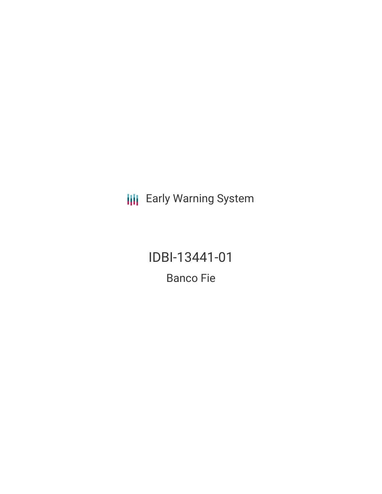**III** Early Warning System

IDBI-13441-01 **Banco Fie**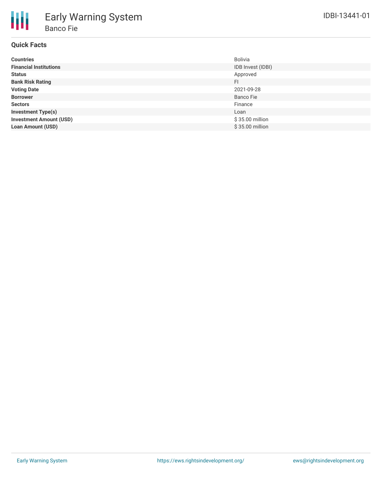# **Quick Facts**

| <b>Countries</b>               | <b>Bolivia</b>    |
|--------------------------------|-------------------|
| <b>Financial Institutions</b>  | IDB Invest (IDBI) |
| <b>Status</b>                  | Approved          |
| <b>Bank Risk Rating</b>        | <b>FI</b>         |
| <b>Voting Date</b>             | 2021-09-28        |
| <b>Borrower</b>                | Banco Fie         |
| <b>Sectors</b>                 | Finance           |
| <b>Investment Type(s)</b>      | Loan              |
| <b>Investment Amount (USD)</b> | \$35.00 million   |
| <b>Loan Amount (USD)</b>       | \$35.00 million   |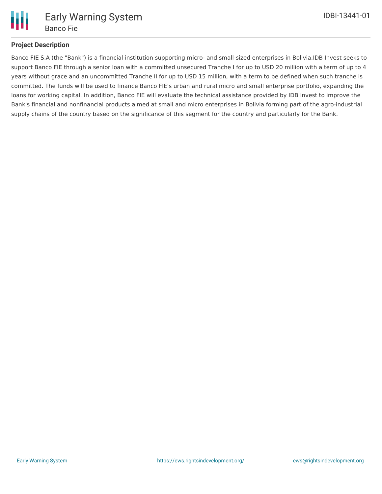

## **Project Description**

Banco FIE S.A (the "Bank") is a financial institution supporting micro- and small-sized enterprises in Bolivia.IDB Invest seeks to support Banco FIE through a senior loan with a committed unsecured Tranche I for up to USD 20 million with a term of up to 4 years without grace and an uncommitted Tranche II for up to USD 15 million, with a term to be defined when such tranche is committed. The funds will be used to finance Banco FIE's urban and rural micro and small enterprise portfolio, expanding the loans for working capital. In addition, Banco FIE will evaluate the technical assistance provided by IDB Invest to improve the Bank's financial and nonfinancial products aimed at small and micro enterprises in Bolivia forming part of the agro-industrial supply chains of the country based on the significance of this segment for the country and particularly for the Bank.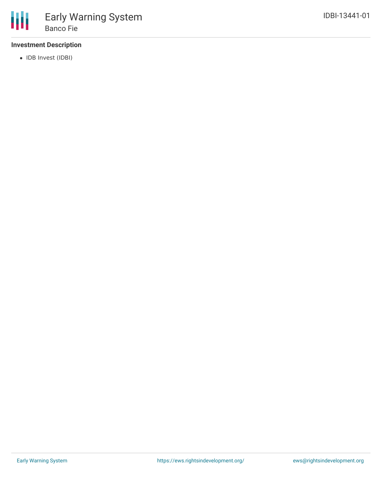

## **Investment Description**

• IDB Invest (IDBI)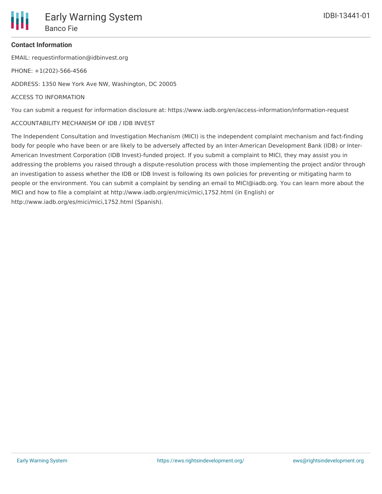### **Contact Information**

EMAIL: requestinformation@idbinvest.org

PHONE: +1(202)-566-4566

ADDRESS: 1350 New York Ave NW, Washington, DC 20005

#### ACCESS TO INFORMATION

You can submit a request for information disclosure at: https://www.iadb.org/en/access-information/information-request

#### ACCOUNTABILITY MECHANISM OF IDB / IDB INVEST

The Independent Consultation and Investigation Mechanism (MICI) is the independent complaint mechanism and fact-finding body for people who have been or are likely to be adversely affected by an Inter-American Development Bank (IDB) or Inter-American Investment Corporation (IDB Invest)-funded project. If you submit a complaint to MICI, they may assist you in addressing the problems you raised through a dispute-resolution process with those implementing the project and/or through an investigation to assess whether the IDB or IDB Invest is following its own policies for preventing or mitigating harm to people or the environment. You can submit a complaint by sending an email to MICI@iadb.org. You can learn more about the MICI and how to file a complaint at http://www.iadb.org/en/mici/mici,1752.html (in English) or http://www.iadb.org/es/mici/mici,1752.html (Spanish).